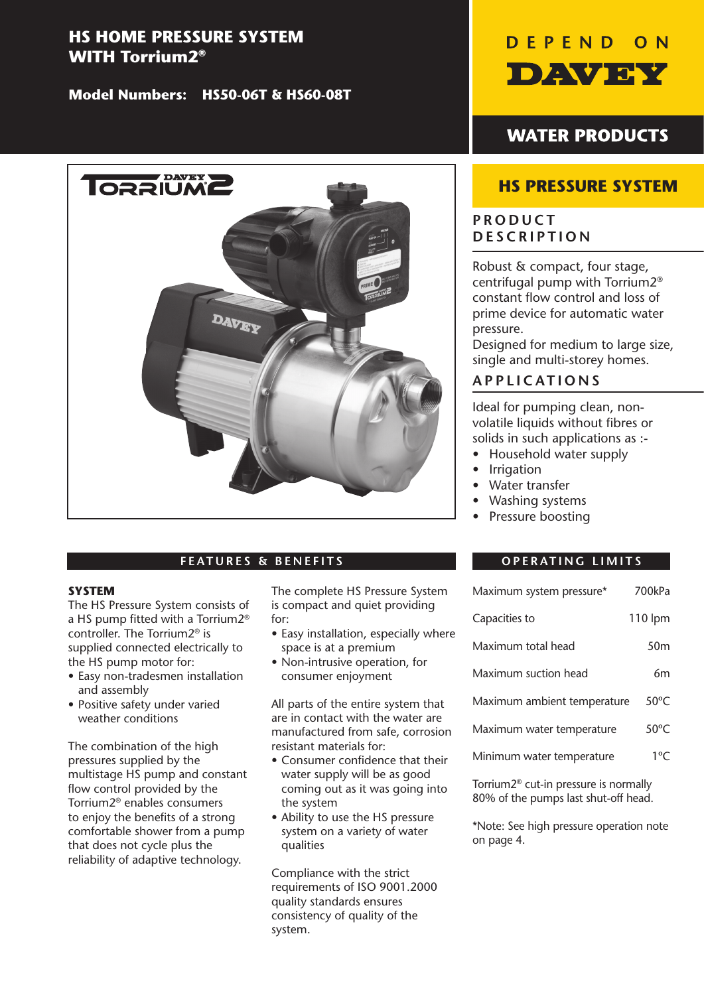# **HS HOME PRESSURE SYSTEM WITH Torrium2®**

**Model Numbers: HS50-06T & HS60-08T**



# **FEATURES & BENEFITS**

#### **SYSTEM**

The HS Pressure System consists of a HS pump fitted with a Torrium2® controller. The Torrium2® is supplied connected electrically to the HS pump motor for:

- Easy non-tradesmen installation and assembly
- Positive safety under varied weather conditions

The combination of the high pressures supplied by the multistage HS pump and constant flow control provided by the Torrium2® enables consumers to enjoy the benefits of a strong comfortable shower from a pump that does not cycle plus the reliability of adaptive technology.

The complete HS Pressure System is compact and quiet providing for:

- Easy installation, especially where space is at a premium
- • Non-intrusive operation, for consumer enjoyment

All parts of the entire system that are in contact with the water are manufactured from safe, corrosion resistant materials for:

- Consumer confidence that their water supply will be as good coming out as it was going into the system
- Ability to use the HS pressure system on a variety of water qualities

Compliance with the strict requirements of ISO 9001.2000 quality standards ensures consistency of quality of the system.



# **WATER PRODUCTS**

# **HS PRESSURE SYSTEM**

# **PRODUCT DESCRIPTION**

Robust & compact, four stage, centrifugal pump with Torrium2® constant flow control and loss of prime device for automatic water pressure.

Designed for medium to large size, single and multi-storey homes.

# **APPLICATIONS**

Ideal for pumping clean, nonvolatile liquids without fibres or solids in such applications as :-

- Household water supply
- Irrigation
- Water transfer
- Washing systems
- Pressure boosting

## **OPERATING LIMITS**

| Maximum system pressure*    | 700kPa          |
|-----------------------------|-----------------|
| Capacities to               | 110 lpm         |
| Maximum total head          | 50 <sub>m</sub> |
| Maximum suction head        | 6m              |
| Maximum ambient temperature | $50^{\circ}$ C  |
| Maximum water temperature   | $50^{\circ}$ C  |
| Minimum water temperature   | $1^{\circ}$ C   |

Torrium2® cut-in pressure is normally 80% of the pumps last shut-off head. 

\*Note: See high pressure operation note on page 4.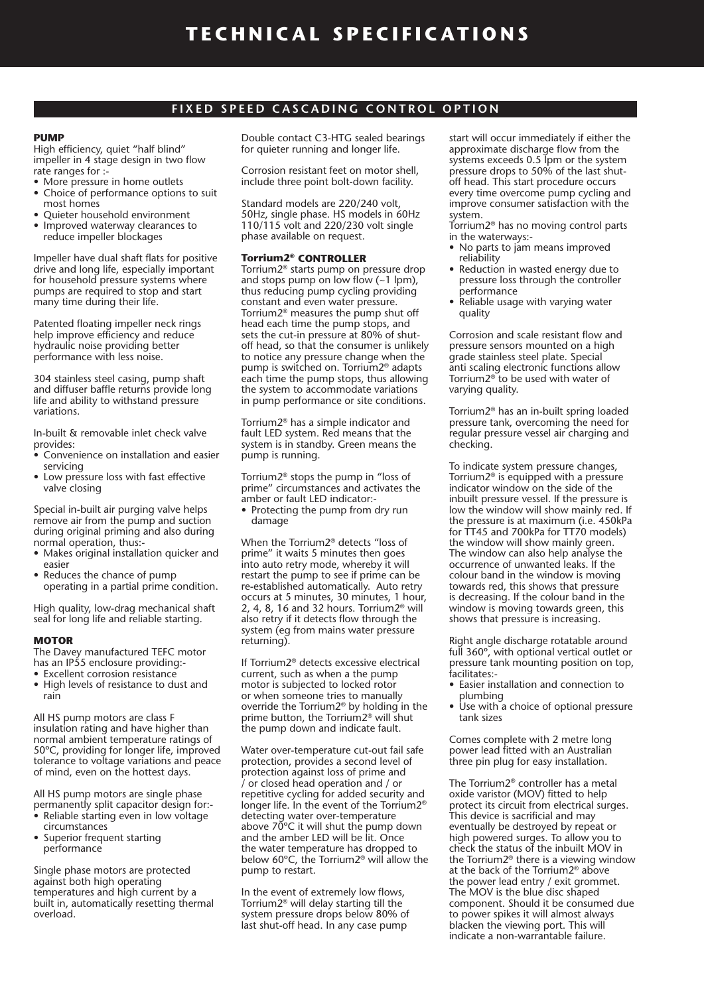#### **FIXED SPEED CASCADING CONTROL OPTION**

#### **PUMP**

High efficiency, quiet "half blind" impeller in 4 stage design in two flow rate ranges for :-

- More pressure in home outlets
- Choice of performance options to suit most homes
- Ouieter household environment
- • Improved waterway clearances to reduce impeller blockages

Impeller have dual shaft flats for positive drive and long life, especially important for household pressure systems where pumps are required to stop and start many time during their life.

Patented floating impeller neck rings help improve efficiency and reduce hydraulic noise providing better performance with less noise.

304 stainless steel casing, pump shaft and diffuser baffle returns provide long life and ability to withstand pressure variations.

In-built & removable inlet check valve provides:

- Convenience on installation and easier servicing
- Low pressure loss with fast effective valve closing

Special in-built air purging valve helps remove air from the pump and suction during original priming and also during normal operation, thus:-

- Makes original installation quicker and easier
- Reduces the chance of pump operating in a partial prime condition.

High quality, low-drag mechanical shaft seal for long life and reliable starting.

#### **MOTOR**

The Davey manufactured TEFC motor has an IP55 enclosure providing:-

- Excellent corrosion resistance • High levels of resistance to dust and
- rain

All HS pump motors are class F insulation rating and have higher than normal ambient temperature ratings of 50ºC, providing for longer life, improved tolerance to voltage variations and peace of mind, even on the hottest days.

All HS pump motors are single phase permanently split capacitor design for:-

- Reliable starting even in low voltage circumstances
- Superior frequent starting performance

Single phase motors are protected against both high operating temperatures and high current by a built in, automatically resetting thermal overload.

Double contact C3-HTG sealed bearings for quieter running and longer life.

Corrosion resistant feet on motor shell, include three point bolt-down facility.

Standard models are 220/240 volt, 50Hz, single phase. HS models in 60Hz 110/115 volt and 220/230 volt single phase available on request.

#### **Torrium2® CONTROLLER**

Torrium2® starts pump on pressure drop and stops pump on low flow  $(-1 \text{ lpm})$ , thus reducing pump cycling providing constant and even water pressure. Torrium2® measures the pump shut off head each time the pump stops, and sets the cut-in pressure at 80% of shutoff head, so that the consumer is unlikely to notice any pressure change when the pump is switched on. Torrium2® adapts each time the pump stops, thus allowing the system to accommodate variations in pump performance or site conditions.

Torrium2® has a simple indicator and fault LED system. Red means that the system is in standby. Green means the pump is running.

Torrium2® stops the pump in "loss of prime" circumstances and activates the amber or fault LED indicator:-

• Protecting the pump from dry run damage

When the Torrium2® detects "loss of prime" it waits 5 minutes then goes into auto retry mode, whereby it will restart the pump to see if prime can be re-established automatically. Auto retry occurs at 5 minutes, 30 minutes, 1 hour, 2, 4, 8, 16 and 32 hours. Torrium2® will also retry if it detects flow through the system (eg from mains water pressure returning).

If Torrium2® detects excessive electrical current, such as when a the pump motor is subjected to locked rotor or when someone tries to manually override the Torrium2® by holding in the prime button, the Torrium2® will shut the pump down and indicate fault.

Water over-temperature cut-out fail safe protection, provides a second level of protection against loss of prime and / or closed head operation and / or repetitive cycling for added security and longer life. In the event of the Torrium2® detecting water over-temperature above 70ºC it will shut the pump down and the amber LED will be lit. Once the water temperature has dropped to below 60ºC, the Torrium2® will allow the pump to restart.

In the event of extremely low flows, Torrium2® will delay starting till the system pressure drops below 80% of last shut-off head. In any case pump

start will occur immediately if either the approximate discharge flow from the systems exceeds 0.5 lpm or the system pressure drops to 50% of the last shutoff head. This start procedure occurs every time overcome pump cycling and improve consumer satisfaction with the system.

- Torrium2® has no moving control parts in the waterways:-
- No parts to jam means improved reliability
- Reduction in wasted energy due to pressure loss through the controller performance
- Reliable usage with varying water quality

Corrosion and scale resistant flow and pressure sensors mounted on a high grade stainless steel plate. Special anti scaling electronic functions allow Torrium2® to be used with water of varying quality.

Torrium2® has an in-built spring loaded pressure tank, overcoming the need for regular pressure vessel air charging and checking.

To indicate system pressure changes, Torrium2® is equipped with a pressure indicator window on the side of the inbuilt pressure vessel. If the pressure is low the window will show mainly red. If the pressure is at maximum (i.e. 450kPa for TT45 and 700kPa for TT70 models) the window will show mainly green. The window can also help analyse the occurrence of unwanted leaks. If the colour band in the window is moving towards red, this shows that pressure is decreasing. If the colour band in the window is moving towards green, this shows that pressure is increasing.

Right angle discharge rotatable around full 360º, with optional vertical outlet or pressure tank mounting position on top, facilitates:-

- • Easier installation and connection to plumbing
- Use with a choice of optional pressure tank sizes

Comes complete with 2 metre long power lead fitted with an Australian three pin plug for easy installation.

The Torrium2® controller has a metal oxide varistor (MOV) fitted to help protect its circuit from electrical surges. This device is sacrificial and may eventually be destroyed by repeat or high powered surges. To allow you to check the status of the inbuilt MOV in the Torrium2® there is a viewing window at the back of the Torrium2® above the power lead entry / exit grommet. The MOV is the blue disc shaped component. Should it be consumed due to power spikes it will almost always blacken the viewing port. This will indicate a non-warrantable failure.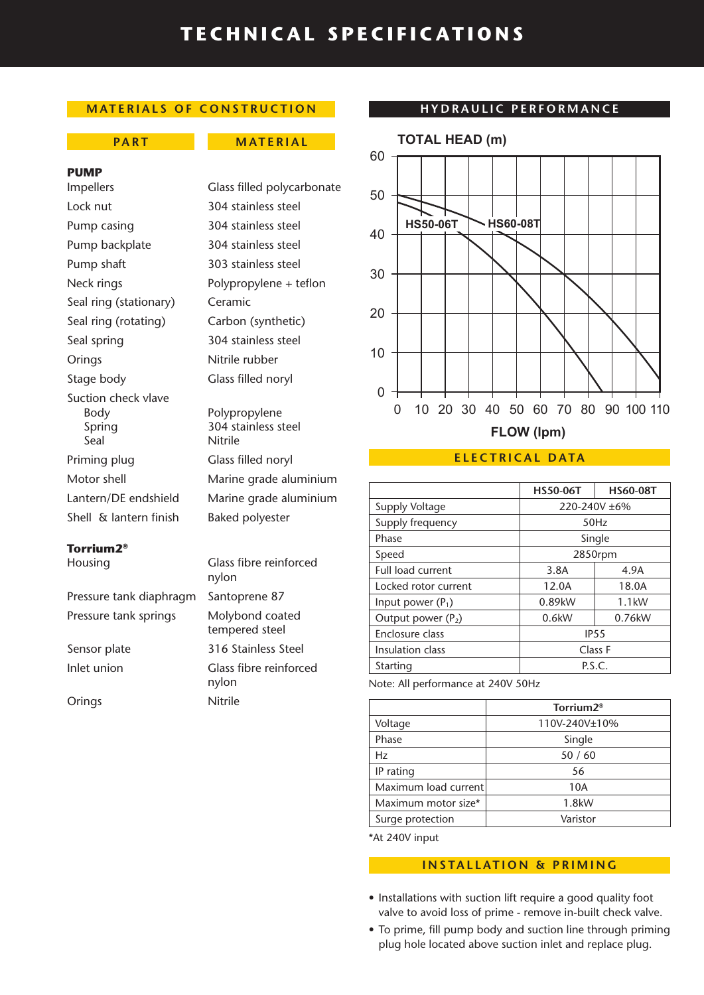# **TECHNICAL SPECIFICATIONS**

## **MATERIALS OF CONSTRUCTION**

#### **PART MATERIAL**

#### **PUMP**

Lock nut 304 stainless steel Pump casing 304 stainless steel Pump backplate 304 stainless steel Pump shaft 303 stainless steel Seal ring (stationary) Ceramic Seal ring (rotating) Carbon (synthetic) Seal spring 304 stainless steel Orings Nitrile rubber Stage body Glass filled noryl Suction check vlave Body Polypropylene Spring 304 stainless steel Seal Nitrile Priming plug Glass filled noryl Shell & lantern finish Baked polyester

## **Torrium2®**

Pressure tank diaphragm Santoprene 87 Pressure tank springs Molybond coated Sensor plate 316 Stainless Steel

Impellers Glass filled polycarbonate Neck rings Polypropylene + teflon

Motor shell Marine grade aluminium Lantern/DE endshield Marine grade aluminium

Housing Glass fibre reinforced nylon tempered steel Inlet union **Glass** fibre reinforced nylon Orings Nitrile

#### **HYDRAULIC PERFORMANCE**



#### **ELECTRICAL DATA**

|                          | <b>HS50-06T</b> | <b>HS60-08T</b> |
|--------------------------|-----------------|-----------------|
| Supply Voltage           | 220-240V ±6%    |                 |
| Supply frequency         | 50Hz            |                 |
| Phase                    | Single          |                 |
| Speed                    | 2850rpm         |                 |
| <b>Full load current</b> | 3.8A            | 4.9A            |
| Locked rotor current     | 12.0A           | 18.0A           |
| Input power $(P_1)$      | 0.89kW          | $1.1$ kW        |
| Output power $(P_2)$     | 0.6kW           | 0.76kW          |
| Enclosure class          | <b>IP55</b>     |                 |
| Insulation class         | Class F         |                 |
| Starting                 | P.S.C.          |                 |

Note: All performance at 240V 50Hz

|                      | Torrium2 <sup>®</sup> |
|----------------------|-----------------------|
| Voltage              | 110V-240V±10%         |
| Phase                | Single                |
| Hz                   | 50/60                 |
| IP rating            | 56                    |
| Maximum load current | 10A                   |
| Maximum motor size*  | 1.8kW                 |
| Surge protection     | Varistor              |
|                      |                       |

\*At 240V input

### **INSTALLATION & PRIMING**

- Installations with suction lift require a good quality foot valve to avoid loss of prime - remove in-built check valve.
- To prime, fill pump body and suction line through priming plug hole located above suction inlet and replace plug.